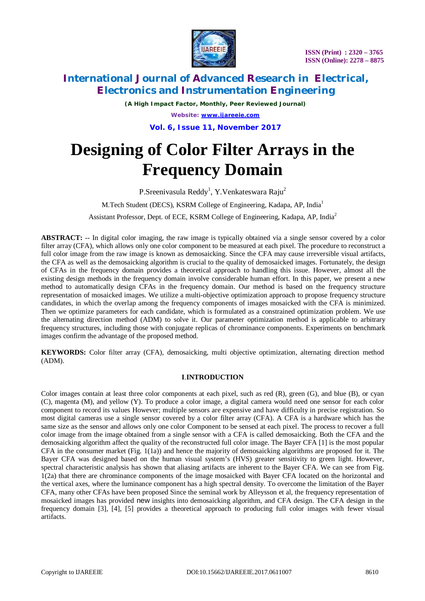

*(A High Impact Factor, Monthly, Peer Reviewed Journal) Website: [www.ijareeie.com](http://www.ijareeie.com)* **Vol. 6, Issue 11, November 2017**

# **Designing of Color Filter Arrays in the Frequency Domain**

P.Sreenivasula Reddy<sup>1</sup>, Y.Venkateswara Raju<sup>2</sup>

M.Tech Student (DECS), KSRM College of Engineering, Kadapa, AP, India<sup>1</sup>

Assistant Professor, Dept. of ECE, KSRM College of Engineering, Kadapa, AP, India<sup>2</sup>

**ABSTRACT:** -- In digital color imaging, the raw image is typically obtained via a single sensor covered by a color filter array (CFA), which allows only one color component to be measured at each pixel. The procedure to reconstruct a full color image from the raw image is known as demosaicking. Since the CFA may cause irreversible visual artifacts, the CFA as well as the demosaicking algorithm is crucial to the quality of demosaicked images. Fortunately, the design of CFAs in the frequency domain provides a theoretical approach to handling this issue. However, almost all the existing design methods in the frequency domain involve considerable human effort. In this paper, we present a new method to automatically design CFAs in the frequency domain. Our method is based on the frequency structure representation of mosaicked images. We utilize a multi-objective optimization approach to propose frequency structure candidates, in which the overlap among the frequency components of images mosaicked with the CFA is minimized. Then we optimize parameters for each candidate, which is formulated as a constrained optimization problem. We use the alternating direction method (ADM) to solve it. Our parameter optimization method is applicable to arbitrary frequency structures, including those with conjugate replicas of chrominance components. Experiments on benchmark images confirm the advantage of the proposed method.

**KEYWORDS:** Color filter array (CFA), demosaicking, multi objective optimization, alternating direction method (ADM).

### **I**.**INTRODUCTION**

Color images contain at least three color components at each pixel, such as red (R), green (G), and blue (B), or cyan (C), magenta (M), and yellow (Y). To produce a color image, a digital camera would need one sensor for each color component to record its values However; multiple sensors are expensive and have difficulty in precise registration. So most digital cameras use a single sensor covered by a color filter array (CFA). A CFA is a hardware which has the same size as the sensor and allows only one color Component to be sensed at each pixel. The process to recover a full color image from the image obtained from a single sensor with a CFA is called demosaicking. Both the CFA and the demosaicking algorithm affect the quality of the reconstructed full color image. The Bayer CFA [1] is the most popular CFA in the consumer market (Fig. 1(1a)) and hence the majority of demosaicking algorithms are proposed for it. The Bayer CFA was designed based on the human visual system's (HVS) greater sensitivity to green light. However, spectral characteristic analysis has shown that aliasing artifacts are inherent to the Bayer CFA. We can see from Fig. 1(2a) that there are chrominance components of the image mosaicked with Bayer CFA located on the horizontal and the vertical axes, where the luminance component has a high spectral density. To overcome the limitation of the Bayer CFA, many other CFAs have been proposed Since the seminal work by Alleysson et al, the frequency representation of mosaicked images has provided new insights into demosaicking algorithm, and CFA design. The CFA design in the frequency domain [3], [4], [5] provides a theoretical approach to producing full color images with fewer visual artifacts.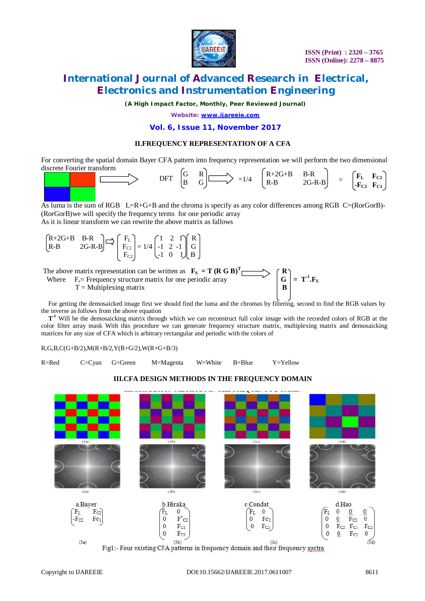

 $\mathbf{F}_{\mathbf{S}}$ 

# **International Journal of Advanced Research in Electrical, Electronics and Instrumentation Engineering**

*(A High Impact Factor, Monthly, Peer Reviewed Journal)*

*Website: [www.ijareeie.com](http://www.ijareeie.com)*

#### **Vol. 6, Issue 11, November 2017**

#### **II.FREQUENCY REPRESENTATION OF A CFA**

For converting the spatial domain Bayer CFA pattern into frequency representation we will perform the two dimensional discrete Fourier transform



As luma is the sum of RGB L=R+G+B and the chroma is specify as any color differences among RGB C=(RorGorB)-(RorGorB)we will specify the frequency terms for one periodic array As it is linear transform we can rewrite the above matrix as fallows

|  | $\begin{bmatrix} R+2G+B & B-R \\ R-B & 2G-R-B \end{bmatrix}$ $\Rightarrow$ $\begin{bmatrix} F_L \\ F_{C1} \\ F_{C2} \end{bmatrix}$ = 1/4 $\begin{bmatrix} 1 & 2 & 1 \\ -1 & 2 & -1 \\ -1 & 0 & 1 \end{bmatrix} \begin{bmatrix} R \\ G \\ B \end{bmatrix}$ |  |  |
|--|-----------------------------------------------------------------------------------------------------------------------------------------------------------------------------------------------------------------------------------------------------------|--|--|
|  |                                                                                                                                                                                                                                                           |  |  |
|  |                                                                                                                                                                                                                                                           |  |  |

The above matrix representation can be written as  $\mathbf{F}_\mathbf{S} = \mathbf{T} (\mathbf{R} \mathbf{G} \mathbf{B})^T \Gamma$  $\rightarrow$   $\uparrow$  R

 **Where**  $F_s$  = Frequency structure matrix for one periodic array  $T =$  Multiplexing matrix



 $T<sup>-1</sup>$  Will be the demosaicking matrix through which we can reconstruct full color image with the recorded colors of RGB at the color filter array mask With this procedure we can generate frequency structure matrix, multiplexing matrix and demosaicking matrices for any size of CFA which is arbitrary rectangular and periodic with the colors of

R,G,B,C(G+B/2),M(R+B/2,Y(R+G/2),W(R+G+B/3)

R=Red C=Cyan G=Green M=Magenta W=White B=Blue Y=Yellow



### **III.CFA DESIGN METHODS IN THE FREQUENCY DOMAIN**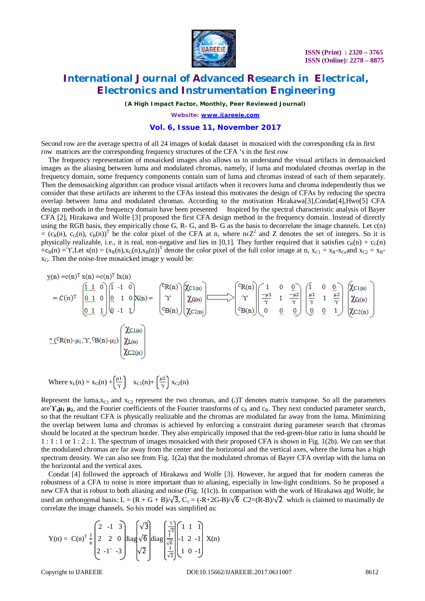

*(A High Impact Factor, Monthly, Peer Reviewed Journal)*

*Website: [www.ijareeie.com](http://www.ijareeie.com)*

#### **Vol. 6, Issue 11, November 2017**

Second row are the average spectra of all 24 images of kodak dataset in mosaiced with the corresponding cfa in first row matrices are the corresponding frequency structures of the CFA 's in the first row

The frequency representation of mosaicked images also allows us to understand the visual artifacts in demosaicked images as the aliasing between luma and modulated chromas, namely, if luma and modulated chromas overlap in the frequency domain, some frequency components contain sum of luma and chromas instead of each of them separately. Then the demosaicking algorithm can produce visual artifacts when it recovers luma and chroma independently thus we consider that these artifacts are inherent to the CFAs instead this motivates the design of CFAs by reducing the spectra overlap between luma and modulated chromas. According to the motivation Hirakawa[3],Condat[4],Hwo[5] CFA design methods in the frequency domain have been presented Inspired by the spectral characteristic analysis of Bayer CFA [2], Hirakawa and Wolfe [3] proposed the first CFA design method in the frequency domain. Instead of directly using the RGB basis, they empirically chose G, R- G, and B- G as the basis to decorrelate the image channels. Let c(n)  $=(c_R(n), c_G(n), c_B(n))^T$  be the color pixel of the CFA at n, where n $\epsilon Z^2$  and Z denotes the set of integers. So it is physically realizable, i.e., it is real, non-negative and lies in [0,1]. They further required that it satisfies  $c_R(n) + c_G(n)$  $+c_B(n) = Y$ , Let  $x(n) = (x_R(n), x_G(n), x_B(n))^T$  denote the color pixel of the full color image at n,  $x_{C_1} = x_R - x_G$ , and  $x_{C_2} = x_B - x_G$  $x<sub>G</sub>$ . Then the noise-free mosaicked image y would be:

$$
y(n) = c(n)^T x(n) = c(n)^T x(n)
$$
\n
$$
= c(n)^T \left[\begin{array}{cc|c} 1 & 0 & 0 \\ 0 & 1 & 0 \\ 0 & 1 & 1 \end{array}\right] \left[\begin{array}{ccc|c} 1 & 0 & 0 \\ 0 & 1 & 0 \\ 0 & -1 & 1 \end{array}\right] \left[\begin{array}{cc|c} x(n) & x(n) & 0 \\ x(n) & x(n) & 0 \\ x(n) & x(n) & 0 \end{array}\right] \left[\begin{array}{cc|c} x(n) & 0 & 0 \\ x(n) & x(n) & 0 \\ x(n) & 0 & 0 \end{array}\right] \left[\begin{array}{ccc|c} x(n) & 0 & 0 \\ x(n) & 1 & \frac{-\mu_2}{\gamma} \\ 0 & 0 & 0 \end{array}\right] \left[\begin{array}{cc|c} x(n) & x(n) & x(n) & x(n) \\ x(n) & x(n) & 0 \\ x(n) & 0 & 0 \end{array}\right] \left[\begin{array}{cc|c} x(n) & 0 & 0 & 0 \\ x(n) & 0 & 0 & 0 \\ 0 & 0 & 1 & 0 \end{array}\right] \left[\begin{array}{cc|c} x(n) & x(n) & x(n) & x(n) \\ x(n) & 0 & 0 & 0 \\ x(n) & 0 & 0 & 1 \end{array}\right]
$$
\n
$$
= (CR(n) - \mu_1, \gamma, {}^C B(n) - \mu_2) \left[\begin{array}{cc|c} x(n) & x(n) & x(n) & x(n) \\ x(n) & x(n) & x(n) & 0 \\ x(n) & x(n) & 0 & 0 \end{array}\right]
$$

Where 
$$
x_L(n) = x_G(n) + \left(\frac{\mu_1}{\gamma}\right)
$$
  $x_{C1}(n) + \left(\frac{\mu_2}{\gamma}\right) x_{C2}(n)$ 

Represent the luma, $x_{C1}$  and  $x_{C2}$  represent the two chromas, and (.)T denotes matrix transpose. So all the parameters  $\ar{e}$  $\gamma$ **,** $\mu_1$ **,**  $\mu_2$ **, and the Fourier coefficients of the Fourier transforms of**  $c_R$  **and**  $c_R$ **. They next conducted parameter search,** so that the resultant CFA is physically realizable and the chromas are modulated far away from the luma. Minimizing the overlap between luma and chromas is achieved by enforcing a constraint during parameter search that chromas should be located at the spectrum border. They also empirically imposed that the red-green-blue ratio in luma should be 1 : 1 : 1 or 1 : 2 : 1. The spectrum of images mosaicked with their proposed CFA is shown in Fig. 1(2b). We can see that the modulated chromas are far away from the center and the horizontal and the vertical axes, where the luma has a high spectrum density. We can also see from Fig. 1(2a) that the modulated chromas of Bayer CFA overlap with the luma on the horizontal and the vertical axes.

Condat [4] followed the approach of Hirakawa and Wolfe [3]. However, he argued that for modern cameras the robustness of a CFA to noise is more important than to aliasing, especially in low-light conditions. So he proposed a new CFA that is robust to both aliasing and noise (Fig. 1(1c)). In comparison with the work of Hirakawa and Wolfe, he used an orthonormal basis: L =  $(R + G + B)/\sqrt{3}$ , C<sub>1</sub> =  $(-R+2G-B)/\sqrt{6}$  C2= $(R-B)/\sqrt{2}$  which is claimed to maximally de correlate the image channels. So his model was simplified as:

$$
Y(n) = C(n)^{T} \frac{1}{6} \begin{bmatrix} 2 & -1 & 3 \ 2 & 2 & 0 \ 2 & -1 & -3 \end{bmatrix} diag \begin{bmatrix} \sqrt{3} \\ \sqrt{6} \\ \sqrt{2} \end{bmatrix} diag \begin{bmatrix} \frac{1}{\sqrt{3}} \\ \frac{1}{\sqrt{6}} \\ \frac{1}{\sqrt{2}} \end{bmatrix} \begin{bmatrix} 1 & 1 & 1 \ -1 & 2 & -1 \ 1 & 0 & -1 \end{bmatrix} X(n)
$$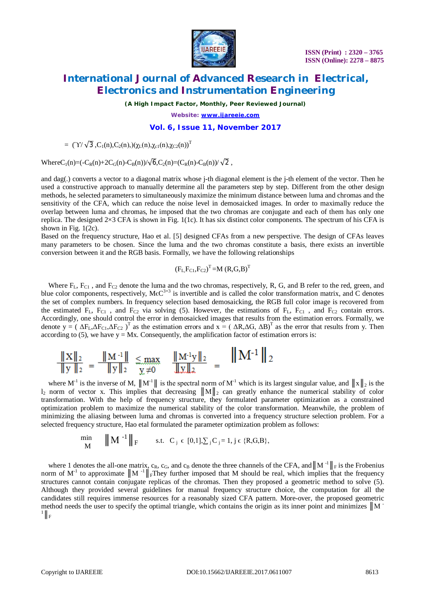

*(A High Impact Factor, Monthly, Peer Reviewed Journal)*

*Website: [www.ijareeie.com](http://www.ijareeie.com)*

#### **Vol. 6, Issue 11, November 2017**

=  $(\gamma/\sqrt{3},C_1(n),C_2(n),)(\gamma_1(n),\gamma_{c1}(n),\gamma_{c2}(n))^T$ 

WhereC<sub>1</sub>(n)=(-C<sub>R</sub>(n)+2C<sub>G</sub>(n)-C<sub>B</sub>(n))/ $\sqrt{6}$ ,C<sub>2</sub>(n)=(C<sub>R</sub>(n)-C<sub>B</sub>(n))/ $\sqrt{2}$ ,

and dag(.) converts a vector to a diagonal matrix whose j-th diagonal element is the j-th element of the vector. Then he used a constructive approach to manually determine all the parameters step by step. Different from the other design methods, he selected parameters to simultaneously maximize the minimum distance between luma and chromas and the sensitivity of the CFA, which can reduce the noise level in demosaicked images. In order to maximally reduce the overlap between luma and chromas, he imposed that the two chromas are conjugate and each of them has only one replica. The designed 2×3 CFA is shown in Fig. 1(1c). It has six distinct color components. The spectrum of his CFA is shown in Fig.  $1(2c)$ .

Based on the frequency structure, Hao et al. [5] designed CFAs from a new perspective. The design of CFAs leaves many parameters to be chosen. Since the luma and the two chromas constitute a basis, there exists an invertible conversion between it and the RGB basis. Formally, we have the following relationships

$$
(F_L, F_{C1}, F_{C2})^T = M (R, G, B)^T
$$

Where  $F_L$ ,  $F_{C1}$ , and  $F_{C2}$  denote the luma and the two chromas, respectively, R, G, and B refer to the red, green, and blue color components, respectively,  $\text{MeC}^{3\times3}$  is invertible and is called the color transformation matrix, and C denotes the set of complex numbers. In frequency selection based demosaicking, the RGB full color image is recovered from the estimated  $F_L$ ,  $F_{C1}$ , and  $F_{C2}$  via solving (5). However, the estimations of  $F_L$ ,  $F_{C1}$ , and  $F_{C2}$  contain errors. Accordingly, one should control the error in demosaicked images that results from the estimation errors. Formally, we denote  $y = (\Delta F_L \Delta F_{C1}, \Delta F_{C2})^T$  as the estimation errors and  $x = (\Delta R, \Delta G, \Delta B)^T$  as the error that results from y. Then according to (5), we have  $y = Mx$ . Consequently, the amplification factor of estimation errors is:

$$
\frac{\|X\|_2}{\|y\|_2} = \frac{\|M^{-1}\|}{\|y\|_2} \le \max_{\substack{y \neq 0}} \frac{\|M^{-1}y\|_2}{\|y\|_2} = \frac{\|M^{-1}\|_2}{\|y\|_2}
$$

where M<sup>-1</sup> is the inverse of M,  $||M^T||$  is the spectral norm of M<sup>-1</sup> which is its largest singular value, and  $||x||_2$  is the  $l_2$  norm of vector x. This implies that decreasing  $||M||_2$  can greatly enhance the numerical stability of color transformation. With the help of frequency structure, they formulated parameter optimization as a constrained optimization problem to maximize the numerical stability of the color transformation. Meanwhile, the problem of minimizing the aliasing between luma and chromas is converted into a frequency structure selection problem. For a selected frequency structure, Hao etal formulated the parameter optimization problem as follows:

$$
\min_{\mathbf{M}} \qquad ||\mathbf{M}^{-1}||_{\mathbf{F}} \qquad \text{s.t.} \quad \mathbf{C}_{j} \in [0,1], \sum_{j} \mathbf{C}_{j} = 1, j \in \{R, G, B\},
$$

where 1 denotes the all-one matrix,  $c_R$ ,  $c_G$ , and  $c_B$  denote the three channels of the CFA, and  $||M^{-1}||_F$  is the Frobenius norm of M<sup>-1</sup> to approximate  $||M||_F$ They further imposed that M should be real, which implies that the frequency structures cannot contain conjugate replicas of the chromas. Then they proposed a geometric method to solve (5). Although they provided several guidelines for manual frequency structure choice, the computation for all the candidates still requires immense resources for a reasonably sized CFA pattern. More-over, the proposed geometric method needs the user to specify the optimal triangle, which contains the origin as its inner point and minimizes  $\|M\|$  $^{1}\parallel_{\text{F}}$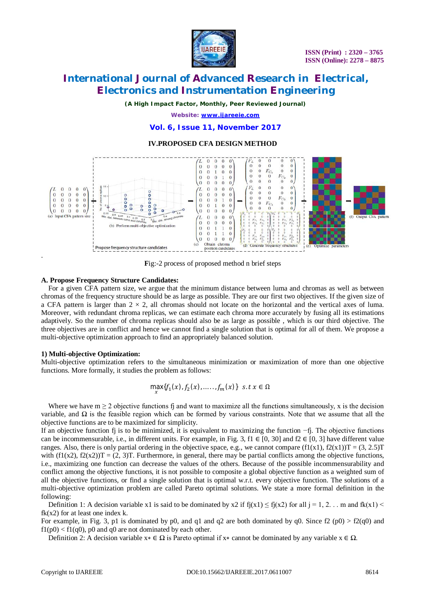

*(A High Impact Factor, Monthly, Peer Reviewed Journal)*

*Website: [www.ijareeie.com](http://www.ijareeie.com)*

**Vol. 6, Issue 11, November 2017**

### **IV.PROPOSED CFA DESIGN METHOD**



**F**ig:-2 process of proposed method n brief steps

#### **A. Propose Frequency Structure Candidates:**

For a given CFA pattern size, we argue that the minimum distance between luma and chromas as well as between chromas of the frequency structure should be as large as possible. They are our first two objectives. If the given size of a CFA pattern is larger than  $2 \times 2$ , all chromas should not locate on the horizontal and the vertical axes of luma. Moreover, with redundant chroma replicas, we can estimate each chroma more accurately by fusing all its estimations adaptively. So the number of chroma replicas should also be as large as possible , which is our third objective. The three objectives are in conflict and hence we cannot find a single solution that is optimal for all of them. We propose a multi-objective optimization approach to find an appropriately balanced solution.

#### **1) Multi-objective Optimization:**

Multi-objective optimization refers to the simultaneous minimization or maximization of more than one objective functions. More formally, it studies the problem as follows:

$$
\max_{x} \{f_1(x), f_2(x), \dots, f_m(x)\} \ \text{ s.t } x \in \Omega
$$

Where we have  $m \geq 2$  objective functions fj and want to maximize all the functions simultaneously, x is the decision variable, and  $\Omega$  is the feasible region which can be formed by various constraints. Note that we assume that all the objective functions are to be maximized for simplicity.

If an objective function fj is to be minimized, it is equivalent to maximizing the function −fj. The objective functions can be incommensurable, i.e., in different units. For example, in Fig. 3, f1 ∈ [0, 30] and f2 ∈ [0, 3] have different value ranges. Also, there is only partial ordering in the objective space, e.g., we cannot compare  $(f1(x1), f2(x1))T = (3, 2.5)T$ with  $(f1(x2), f2(x2))T = (2, 3)T$ . Furthermore, in general, there may be partial conflicts among the objective functions, i.e., maximizing one function can decrease the values of the others. Because of the possible incommensurability and conflict among the objective functions, it is not possible to composite a global objective function as a weighted sum of all the objective functions, or find a single solution that is optimal w.r.t. every objective function. The solutions of a multi-objective optimization problem are called Pareto optimal solutions. We state a more formal definition in the following:

Definition 1: A decision variable x1 is said to be dominated by x2 if  $f(x1) \le f(x2)$  for all  $i = 1, 2, \ldots$  m and  $f(x1) \le f(x1)$  $fk(x2)$  for at least one index k.

For example, in Fig. 3, p1 is dominated by p0, and q1 and q2 are both dominated by q0. Since  $f2 (p0) > f2(q0)$  and  $f1(p0) < f1(q0)$ , p0 and q0 are not dominated by each other.

Definition 2: A decision variable  $x \in \Omega$  is Pareto optimal if  $x \ast$  cannot be dominated by any variable  $x \in \Omega$ .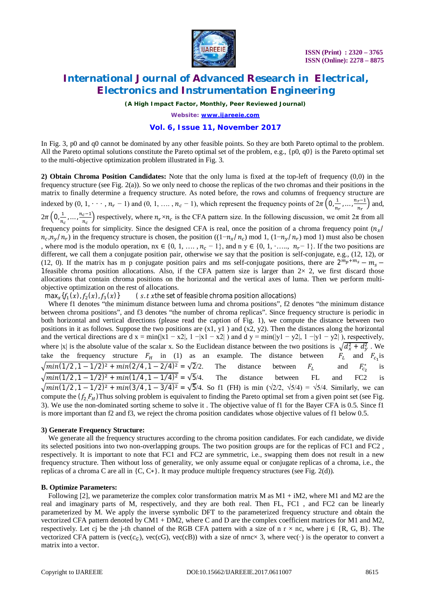

*(A High Impact Factor, Monthly, Peer Reviewed Journal)*

*Website: [www.ijareeie.com](http://www.ijareeie.com)*

### **Vol. 6, Issue 11, November 2017**

In Fig. 3, p0 and q0 cannot be dominated by any other feasible points. So they are both Pareto optimal to the problem. All the Pareto optimal solutions constitute the Pareto optimal set of the problem, e.g., {p0, q0} is the Pareto optimal set to the multi-objective optimization problem illustrated in Fig. 3.

**2) Obtain Chroma Position Candidates:** Note that the only luma is fixed at the top-left of frequency (0,0) in the frequency structure (see Fig. 2(a)). So we only need to choose the replicas of the two chromas and their positions in the matrix to finally determine a frequency structure. As noted before, the rows and columns of frequency structure are indexed by  $(0, 1, \dots, n_r - 1)$  and  $(0, 1, \dots, n_c - 1)$ , which represent the frequency points of  $2\pi \left(0, \frac{1}{n}\right)$  $rac{1}{n_r}, \ldots, \frac{n_r-1}{n_r}$  $\frac{r^{-1}}{n_r}$  and,  $2\pi (0,\frac{1}{n})$  $\frac{1}{n_c}, \ldots, \frac{n_c-1}{n_c}$  $\frac{e^{-1}}{n_c}$  respectively, where  $n_r \times n_c$  is the CFA pattern size. In the following discussion, we omit  $2\pi$  from all frequency points for simplicity. Since the designed CFA is real, once the position of a chroma frequency point  $(n_x/$  $n_c, n_y/n_r$ ) in the frequency structure is chosen, the position  $((1-n_x/n_c) \text{ mod } 1, (1-n_y/n_r) \text{ mod } 1)$  must also be chosen , where mod is the modulo operation,  $nx \in \{0, 1, \ldots, n_c - 1\}$ , and  $ny \in \{0, 1, \ldots, n_r - 1\}$ . If the two positions are different, we call them a conjugate position pair, otherwise we say that the position is self-conjugate, e.g., (12, 12), or (12, 0). If the matrix has m p conjugate position pairs and ms self-conjugate positions, there are  $2^{m}p^{+m}$ s –  $m_s$  – 1feasible chroma position allocations. Also, if the CFA pattern size is larger than  $2\times 2$ , we first discard those allocations that contain chroma positions on the horizontal and the vertical axes of luma. Then we perform multiobjective optimization on the rest of allocations.

max $_{x}$ { $f_1(x)$ ,  $f_2(x)$ ,  $f_3$  $(s. t x$ the set of feasible chroma position allocations)

Where f1 denotes "the minimum distance between luma and chroma positions", f2 denotes "the minimum distance between chroma positions", and f3 denotes "the number of chroma replicas". Since frequency structure is periodic in both horizontal and vertical directions (please read the caption of Fig. 1), we compute the distance between two positions in it as follows. Suppose the two positions are  $(x1, y1)$  and  $(x2, y2)$ . Then the distances along the horizontal and the vertical directions are d x = min(|x1 - x2|, 1 -|x1 - x2|) and d y = min(|y1 - y2|, 1 -|y1 - y2|), respectively, where |x| is the absolute value of the scalar x. So the Euclidean distance between the two positions is  $\sqrt{d_x^2 + d_y^2}$ . We take the frequency structure  $F_H$  in (1) as an example. The distance between  $F_L$  and  $F_{c_1}$  is  $\sqrt{min(1/2, 1 - 1/2)^2 + min(2/4, 1 - 2/4)^2} = \sqrt{2}/2.$  The distance between  $F_L$  and  $F_{c_2}^*$  is  $\sqrt{min(1/2, 1 - 1/2)^2 + min(1/4, 1 - 1/4)^2} = \sqrt{5}/4$ . The distance between FL and FC2 is  $\sqrt{min(1/2)}$ , 1 – 1/2)<sup>2</sup> +  $min(3/4)$ , 1 – 3/4)<sup>2</sup> =  $\sqrt{5}/4$ . So f1 (FH) is min ( $\sqrt{2}/2$ ,  $\sqrt{5}/4$ ) =  $\sqrt{5}/4$ . Similarly, we can compute the  $(f_2 F_H)$ Thus solving problem is equivalent to finding the Pareto optimal set from a given point set (see Fig. 3). We use the non-dominated sorting scheme to solve it . The objective value of f1 for the Bayer CFA is 0.5. Since f1 is more important than f2 and f3, we reject the chroma position candidates whose objective values of f1 below 0.5.

#### **3) Generate Frequency Structure:**

We generate all the frequency structures according to the chroma position candidates. For each candidate, we divide its selected positions into two non-overlapping groups. The two position groups are for the replicas of FC1 and FC2 , respectively. It is important to note that FC1 and FC2 are symmetric, i.e., swapping them does not result in a new frequency structure. Then without loss of generality, we only assume equal or conjugate replicas of a chroma, i.e., the replicas of a chroma C are all in {C, C∗}. It may produce multiple frequency structures (see Fig. 2(d)).

#### **B. Optimize Parameters:**

Following [2], we parameterize the complex color transformation matrix M as  $M1 + iM2$ , where M1 and M2 are the real and imaginary parts of M, respectively, and they are both real. Then FL, FC1 , and FC2 can be linearly parameterized by M. We apply the inverse symbolic DFT to the parameterized frequency structure and obtain the vectorized CFA pattern denoted by CM1 + DM2, where C and D are the complex coefficient matrices for M1 and M2, respectively. Let cj be the j-th channel of the RGB CFA pattern with a size of n r  $\times$  nc, where j  $\in \{R, G, B\}$ . The vectorized CFA pattern is (vec( $c_G$ ), vec(cG), vec(cB)) with a size of nrnc× 3, where vec( $\cdot$ ) is the operator to convert a matrix into a vector.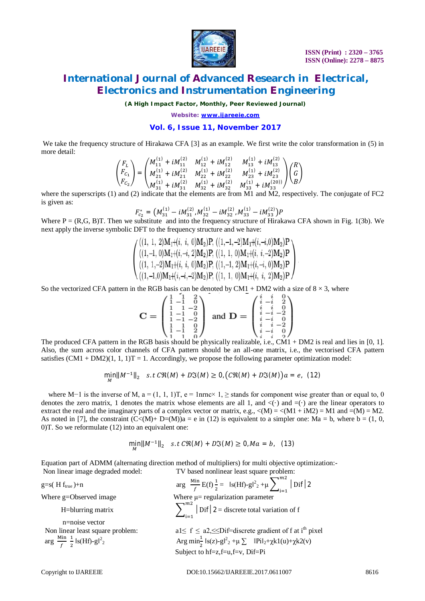

*(A High Impact Factor, Monthly, Peer Reviewed Journal)*

*Website: [www.ijareeie.com](http://www.ijareeie.com)*

### **Vol. 6, Issue 11, November 2017**

We take the frequency structure of Hirakawa CFA [3] as an example. We first write the color transformation in (5) in more detail:

$$
\begin{pmatrix} F_L \ F_{C_1} \ F_C \end{pmatrix} = \begin{pmatrix} M_{11}^{(1)} + iM_{11}^{(2)} & M_{12}^{(1)} + iM_{12}^{(2)} & M_{13}^{(1)} + iM_{13}^{(2)} \\ M_{21}^{(1)} + iM_{21}^{(2)} & M_{22}^{(1)} + iM_{22}^{(2)} & M_{23}^{(1)} + iM_{23}^{(2)} \\ M_{31}^{(1)} + iM_{31}^{(2)} & M_{32}^{(1)} + iM_{32}^{(2)} & M_{33}^{(1)} + iM_{33}^{(20)} \end{pmatrix} \begin{pmatrix} R \\ G \\ B \end{pmatrix}
$$

where the superscripts (1) and (2) indicate that the elements are from M1 and M2, respectively. The conjugate of FC2 is given as:

$$
F_{c_2}^* = \left(M_{31}^{(1)} - iM_{31}^{(2)}, M_{32}^{(1)} - iM_{32}^{(2)}, M_{33}^{(1)} - iM_{33}^{(2)}\right)P
$$

Where  $P = (R, G, B)T$ . Then we substitute and into the frequency structure of Hirakawa CFA shown in Fig. 1(3b). We next apply the inverse symbolic DFT to the frequency structure and we have:

$$
\begin{pmatrix}\n((1, 1, 2)M_1+(i, i, 0)M_2)P, ((1, -1, -2)M_1+(i, -i, 0)M_2)P \\
((1, -1, 0)M_1+(i, -i, 2)M_2)P, ((1, 1, 0)M_1+(i, i, -2)M_2)P \\
((1, 1, -2)M_1+(i, i, 0)M_2)P, ((1, -1, 2)M_1+(i, -i, 0)M_2)P \\
((1, -1, 0)M_1+(i, -i, -2)M_2)P, ((1, 1, 0)M_1+(i, i, 2)M_2)P\n\end{pmatrix}
$$

So the vectorized CFA pattern in the RGB basis can be denoted by CM1 + DM2 with a size of  $8 \times 3$ , where

$$
\mathbf{C} = \begin{pmatrix} 1 & 1 & 2 \\ 1 & 1 & 0 \\ 1 & 1 & -2 \\ 1 & -1 & 0 \\ 1 & 1 & 0 \\ 1 & 1 & 2 \\ 1 & 1 & 2 \end{pmatrix} \text{ and } \mathbf{D} = \begin{pmatrix} i & i & 0 \\ i & -i & 2 \\ i & i & 0 \\ i & -i & -2 \\ i & -i & 0 \\ i & i & -2 \\ i & -i & 0 \end{pmatrix}
$$

The produced CFA pattern in the RGB basis should be physically realizable, i.e., CM1 + DM2 is real and lies in [0, 1]. Also, the sum across color channels of CFA pattern should be an all-one matrix, i.e., the vectorised CFA pattern satisfies  $(CM1 + DM2)(1, 1, 1)T = 1$ . Accordingly, we propose the following parameter optimization model:

$$
\min_{M} \|M^{-1}\|_{2} \quad s.t \; C\Re(M) + D\Im(M) \ge 0, (C\Re(M) + D\Im(M))a = e, \tag{12}
$$

where M−1 is the inverse of M,  $a = (1, 1, 1)T$ ,  $e = 1$ nrnc× 1,  $\ge$  stands for component wise greater than or equal to, 0 denotes the zero matrix, 1 denotes the matrix whose elements are all 1, and  $\langle \cdot \rangle$  and  $\langle \cdot \rangle$  are the linear operators to extract the real and the imaginary parts of a complex vector or matrix, e.g.,  $\langle M \rangle = \langle M1 + iM2 \rangle = M1$  and  $\langle M \rangle = M2$ . As noted in [7], the constraint  $(C<(M)+D=(M))a = e$  in (12) is equivalent to a simpler one: Ma = b, where b = (1, 0, 0)T. So we reformulate (12) into an equivalent one:

$$
\min_{M} \|M^{-1}\|_{2} \quad s.t \; C\Re(M) + D\Im(M) \ge 0, Ma = b, \quad (13)
$$

Equation part of ADMM (alternating direction method of multipliers) for multi objective optimization:- Non linear image degraded model: TV based nonlinear least square problem:

 $g=s(H f_{true})+n$ 

H=blurring matrix

 n=noise vector arg  $\frac{\text{Min}}{f}$ f  $\mathbf 1$  $\frac{1}{2}$  ||s(Hf)-g||<sup>2</sup>

Min  $\frac{\sin}{f} E(f) \frac{1}{2} = |\sin(Hf) - g|^2 + \mu \sum_{i=1}^{m^2} |\sinh(2\theta) - f|^2$  $\vert \text{Diff} \vert 2$ Where  $g$ =Observed image Where  $\mu$ = regularization parameter m2  $\left| \right|$  Dif  $\left| 2 \right|$  discrete total variation of f Non linear least square problem:  $a1 \le f \le a2, \le Dif=discrete$  gradient of f at i<sup>th</sup> pixel 2 Arg min $\frac{1}{2}$  ls(z)-gl<sup>2</sup><sub>2</sub> +μ  $\Sigma$  lPil<sub>2</sub>+χk1(u)+χk2(v) Subject to hf=z,f=u,f=v, Dif=Pi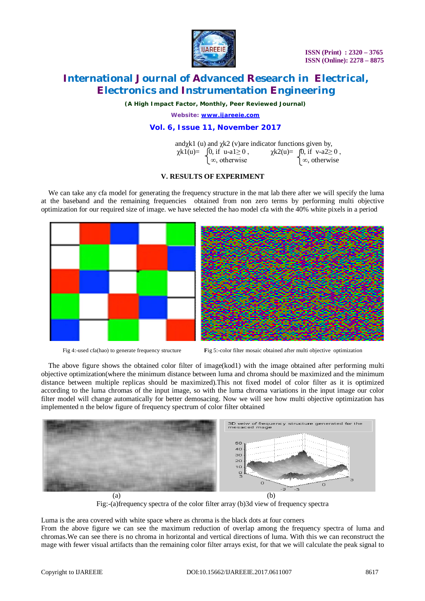

 **ISSN (Print) : 2320 – 3765 ISSN (Online): 2278 – 8875**

# **International Journal of Advanced Research in Electrical, Electronics and Instrumentation Engineering**

*(A High Impact Factor, Monthly, Peer Reviewed Journal)*

*Website: [www.ijareeie.com](http://www.ijareeie.com)*

### **Vol. 6, Issue 11, November 2017**

|                                            | and $\chi k1$ (u) and $\chi k2$ (v) are indicator functions given by, |  |  |  |
|--------------------------------------------|-----------------------------------------------------------------------|--|--|--|
| $\chi k1(u) = \int 0$ , if u-a1 $\geq 0$ , | $\chi k2(u) = \int 0$ , if v-a2 $\geq 0$ ,                            |  |  |  |
| $\infty$ , otherwise                       | $\infty$ , otherwise                                                  |  |  |  |

#### **V. RESULTS OF EXPERIMENT**

We can take any cfa model for generating the frequency structure in the mat lab there after we will specify the luma at the baseband and the remaining frequencies obtained from non zero terms by performing multi objective optimization for our required size of image. we have selected the hao model cfa with the 40% white pixels in a period



Fig 4:-used cfa(hao) to generate frequency structure **F**ig 5:-color filter mosaic obtained after multi objective optimization

The above figure shows the obtained color filter of image(kod1) with the image obtained after performing multi objective optimization(where the minimum distance between luma and chroma should be maximized and the minimum distance between multiple replicas should be maximized).This not fixed model of color filter as it is optimized according to the luma chromas of the input image, so with the luma chroma variations in the input image our color filter model will change automatically for better demosacing. Now we will see how multi objective optimization has implemented n the below figure of frequency spectrum of color filter obtained



Fig:-(a)frequency spectra of the color filter array (b)3d view of frequency spectra

Luma is the area covered with white space where as chroma is the black dots at four corners

From the above figure we can see the maximum reduction of overlap among the frequency spectra of luma and chromas.We can see there is no chroma in horizontal and vertical directions of luma. With this we can reconstruct the mage with fewer visual artifacts than the remaining color filter arrays exist, for that we will calculate the peak signal to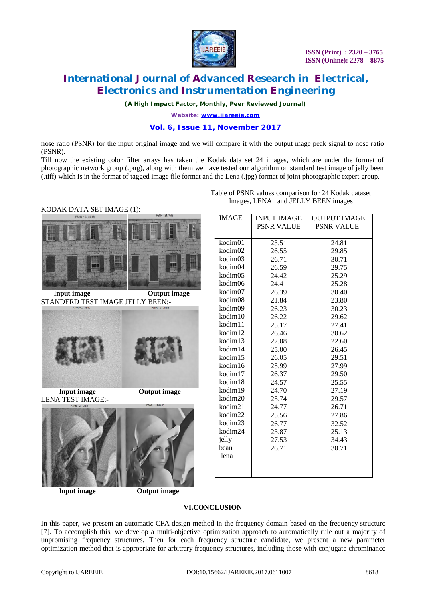

*(A High Impact Factor, Monthly, Peer Reviewed Journal)*

*Website: [www.ijareeie.com](http://www.ijareeie.com)*

### **Vol. 6, Issue 11, November 2017**

nose ratio (PSNR) for the input original image and we will compare it with the output mage peak signal to nose ratio (PSNR).

Till now the existing color filter arrays has taken the Kodak data set 24 images, which are under the format of photographic network group (.png), along with them we have tested our algorithm on standard test image of jelly been (.tiff) which is in the format of tagged image file format and the Lena (.jpg) format of joint photographic expert group.



**<u>Input image</u> Output image** STANDERD TEST IMAGE JELLY BEEN:-



 I**nput image Output image** LENA TEST IMAGE:-



*<u>Input image</u>* **Output image** 

|  | Table of PSNR values comparison for 24 Kodak dataset |
|--|------------------------------------------------------|
|  | Images, LENA and JELLY BEEN images                   |

| <b>IMAGE</b>        | <b>INPUT IMAGE</b> | <b>OUTPUT IMAGE</b> |
|---------------------|--------------------|---------------------|
|                     | <b>PSNR VALUE</b>  | <b>PSNR VALUE</b>   |
|                     |                    |                     |
| $k$ odim $01$       | 23.51              | 24.81               |
| kodim02             | 26.55              | 29.85               |
| kodim03             | 26.71              | 30.71               |
| kodim04             | 26.59              | 29.75               |
| kodim05             | 24.42              | 25.29               |
| kodim06             | 24.41              | 25.28               |
| kodim07             | 26.39              | 30.40               |
| kodim08             | 21.84              | 23.80               |
| kodim09             | 26.23              | 30.23               |
| kodim10             | 26.22              | 29.62               |
| kodim11             | 25.17              | 27.41               |
| kodim12             | 26.46              | 30.62               |
| kodim13             | 22.08              | 22.60               |
| kodim14             | 25.00              | 26.45               |
| kodim <sub>15</sub> | 26.05              | 29.51               |
| kodim16             | 25.99              | 27.99               |
| kodim17             | 26.37              | 29.50               |
| kodim18             | 24.57              | 25.55               |
| kodim19             | 24.70              | 27.19               |
| kodim20             | 25.74              | 29.57               |
| kodim21             | 24.77              | 26.71               |
| kodim22             | 25.56              | 27.86               |
| kodim23             | 26.77              | 32.52               |
| kodim24             | 23.87              | 25.13               |
| jelly               | 27.53              | 34.43               |
| bean                | 26.71              | 30.71               |
| lena                |                    |                     |
|                     |                    |                     |
|                     |                    |                     |

#### **VI.CONCLUSION**

In this paper, we present an automatic CFA design method in the frequency domain based on the frequency structure [7]. To accomplish this, we develop a multi-objective optimization approach to automatically rule out a majority of unpromising frequency structures. Then for each frequency structure candidate, we present a new parameter optimization method that is appropriate for arbitrary frequency structures, including those with conjugate chrominance